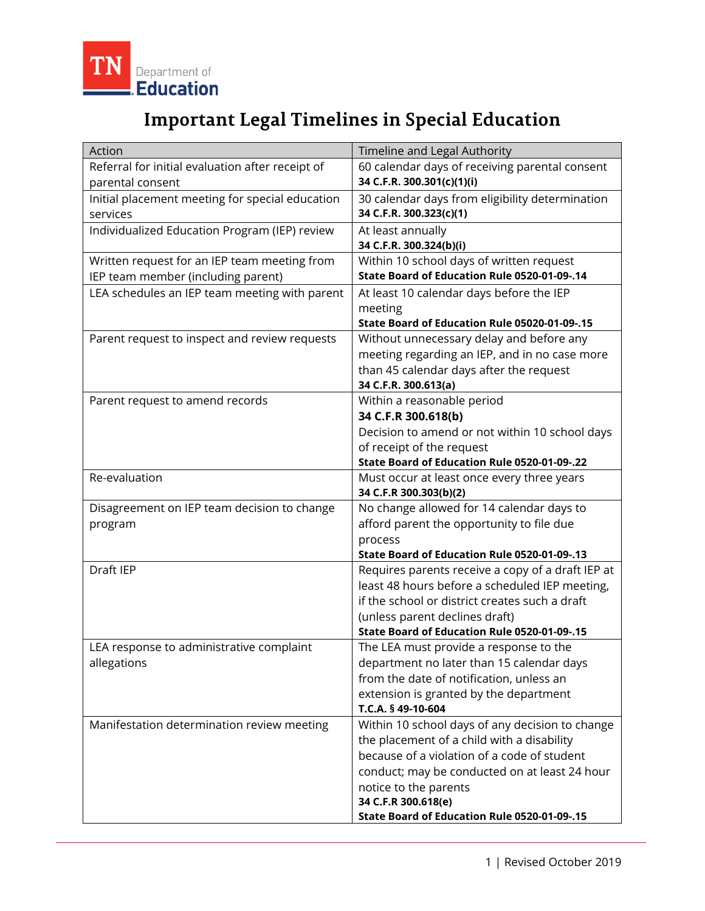

## **Important Legal Timelines in Special Education**

| 60 calendar days of receiving parental consent<br>Referral for initial evaluation after receipt of  |
|-----------------------------------------------------------------------------------------------------|
|                                                                                                     |
| 34 C.F.R. 300.301(c)(1)(i)<br>parental consent                                                      |
| Initial placement meeting for special education<br>30 calendar days from eligibility determination  |
| 34 C.F.R. 300.323(c)(1)<br>services                                                                 |
| Individualized Education Program (IEP) review<br>At least annually                                  |
| 34 C.F.R. 300.324(b)(i)                                                                             |
| Written request for an IEP team meeting from<br>Within 10 school days of written request            |
| State Board of Education Rule 0520-01-09-.14<br>IEP team member (including parent)                  |
| LEA schedules an IEP team meeting with parent<br>At least 10 calendar days before the IEP           |
| meeting                                                                                             |
| State Board of Education Rule 05020-01-09-.15                                                       |
| Parent request to inspect and review requests<br>Without unnecessary delay and before any           |
| meeting regarding an IEP, and in no case more                                                       |
| than 45 calendar days after the request                                                             |
| 34 C.F.R. 300.613(a)                                                                                |
| Within a reasonable period<br>Parent request to amend records                                       |
| 34 C.F.R 300.618(b)                                                                                 |
| Decision to amend or not within 10 school days                                                      |
| of receipt of the request                                                                           |
| State Board of Education Rule 0520-01-09-.22                                                        |
| Re-evaluation<br>Must occur at least once every three years                                         |
| 34 C.F.R 300.303(b)(2)                                                                              |
| No change allowed for 14 calendar days to<br>Disagreement on IEP team decision to change            |
| afford parent the opportunity to file due<br>program                                                |
| process<br>State Board of Education Rule 0520-01-09-.13                                             |
| Draft IEP                                                                                           |
| Requires parents receive a copy of a draft IEP at<br>least 48 hours before a scheduled IEP meeting, |
| if the school or district creates such a draft                                                      |
|                                                                                                     |
| (unless parent declines draft)<br>State Board of Education Rule 0520-01-09-.15                      |
| The LEA must provide a response to the<br>LEA response to administrative complaint                  |
| allegations<br>department no later than 15 calendar days                                            |
| from the date of notification, unless an                                                            |
| extension is granted by the department                                                              |
| T.C.A. § 49-10-604                                                                                  |
| Within 10 school days of any decision to change<br>Manifestation determination review meeting       |
| the placement of a child with a disability                                                          |
| because of a violation of a code of student                                                         |
| conduct; may be conducted on at least 24 hour                                                       |
| notice to the parents                                                                               |
| 34 C.F.R 300.618(e)                                                                                 |
| State Board of Education Rule 0520-01-09-.15                                                        |